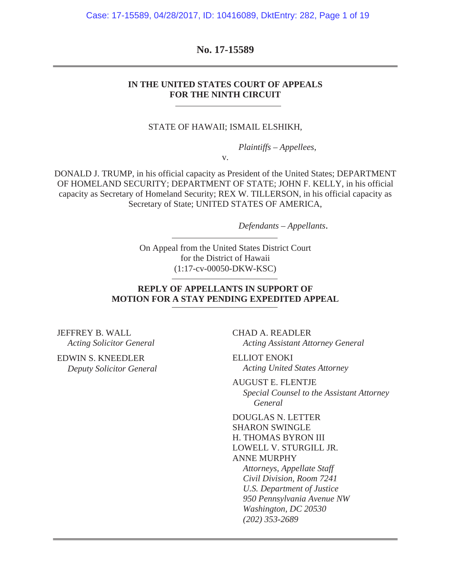Case: 17-15589, 04/28/2017, ID: 10416089, DktEntry: 282, Page 1 of 19

**No. 17-15589**

#### **IN THE UNITED STATES COURT OF APPEALS FOR THE NINTH CIRCUIT**

STATE OF HAWAII; ISMAIL ELSHIKH,

*Plaintiffs – Appellees*,

v.

DONALD J. TRUMP, in his official capacity as President of the United States; DEPARTMENT OF HOMELAND SECURITY; DEPARTMENT OF STATE; JOHN F. KELLY, in his official capacity as Secretary of Homeland Security; REX W. TILLERSON, in his official capacity as Secretary of State; UNITED STATES OF AMERICA,

*Defendants – Appellants*.

On Appeal from the United States District Court for the District of Hawaii (1:17-cv-00050-DKW-KSC)

#### **REPLY OF APPELLANTS IN SUPPORT OF MOTION FOR A STAY PENDING EXPEDITED APPEAL**

JEFFREY B. WALL *Acting Solicitor General*

EDWIN S. KNEEDLER *Deputy Solicitor General* CHAD A. READLER *Acting Assistant Attorney General*

ELLIOT ENOKI *Acting United States Attorney*

AUGUST E. FLENTJE *Special Counsel to the Assistant Attorney General*

DOUGLAS N. LETTER SHARON SWINGLE H. THOMAS BYRON III LOWELL V. STURGILL JR. ANNE MURPHY *Attorneys, Appellate Staff Civil Division, Room 7241 U.S. Department of Justice 950 Pennsylvania Avenue NW Washington, DC 20530 (202) 353-2689*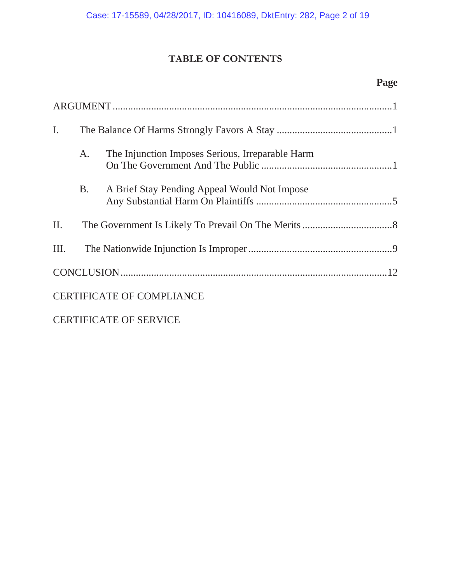# **TABLE OF CONTENTS**

# **Page**

| $\mathbf{I}$ .                |           |                                                  |  |  |
|-------------------------------|-----------|--------------------------------------------------|--|--|
|                               | A.        | The Injunction Imposes Serious, Irreparable Harm |  |  |
|                               | <b>B.</b> | A Brief Stay Pending Appeal Would Not Impose     |  |  |
| II.                           |           |                                                  |  |  |
| Ш.                            |           |                                                  |  |  |
|                               |           |                                                  |  |  |
|                               |           | <b>CERTIFICATE OF COMPLIANCE</b>                 |  |  |
| <b>CERTIFICATE OF SERVICE</b> |           |                                                  |  |  |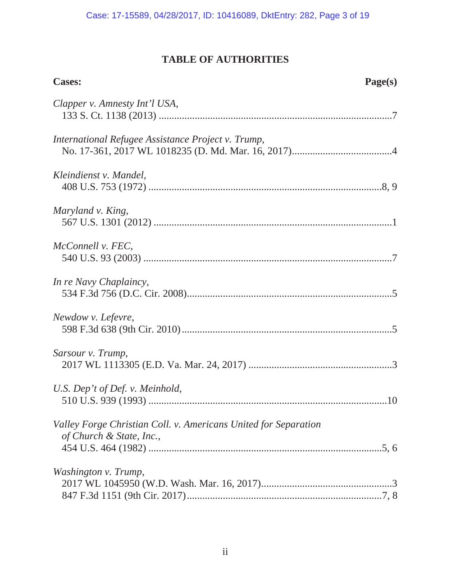# **TABLE OF AUTHORITIES**

| <b>Cases:</b>                                                                               | Page(s) |
|---------------------------------------------------------------------------------------------|---------|
| Clapper v. Amnesty Int'l USA,                                                               |         |
| International Refugee Assistance Project v. Trump,                                          |         |
| Kleindienst v. Mandel,                                                                      |         |
| Maryland v. King,                                                                           |         |
| McConnell v. FEC,                                                                           |         |
| In re Navy Chaplaincy,                                                                      |         |
| Newdow v. Lefevre,                                                                          |         |
| Sarsour v. Trump,                                                                           |         |
| U.S. Dep't of Def. v. Meinhold,                                                             |         |
| Valley Forge Christian Coll. v. Americans United for Separation<br>of Church & State, Inc., |         |
|                                                                                             |         |
| Washington v. Trump,                                                                        |         |
|                                                                                             |         |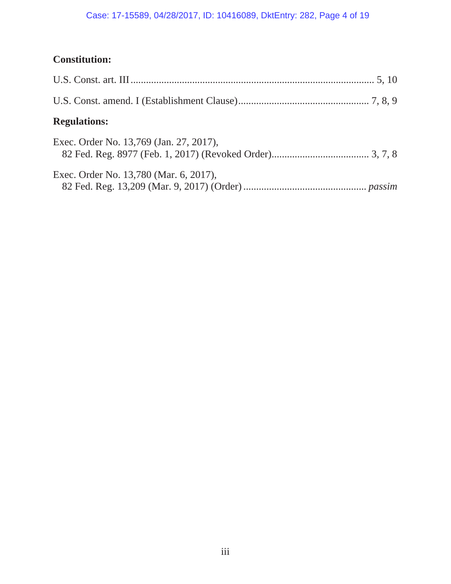# Case: 17-15589, 04/28/2017, ID: 10416089, DktEntry: 282, Page 4 of 19

# **Constitution:**

| <b>Regulations:</b>                     |
|-----------------------------------------|
| Exec. Order No. 13,769 (Jan. 27, 2017), |
| Exec. Order No. 13,780 (Mar. 6, 2017),  |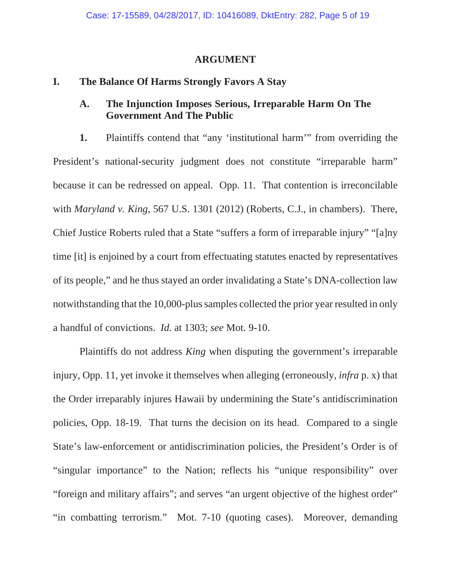#### **ARGUMENT**

### **I. The Balance Of Harms Strongly Favors A Stay**

### **A. The Injunction Imposes Serious, Irreparable Harm On The Government And The Public**

**1.** Plaintiffs contend that "any 'institutional harm'" from overriding the President's national-security judgment does not constitute "irreparable harm" because it can be redressed on appeal. Opp. 11. That contention is irreconcilable with *Maryland v. King*, 567 U.S. 1301 (2012) (Roberts, C.J., in chambers). There, Chief Justice Roberts ruled that a State "suffers a form of irreparable injury" "[a]ny time [it] is enjoined by a court from effectuating statutes enacted by representatives of its people," and he thus stayed an order invalidating a State's DNA-collection law notwithstanding that the 10,000-plus samples collected the prior year resulted in only a handful of convictions. *Id.* at 1303; *see* Mot. 9-10.

Plaintiffs do not address *King* when disputing the government's irreparable injury, Opp. 11, yet invoke it themselves when alleging (erroneously, *infra* p. x) that the Order irreparably injures Hawaii by undermining the State's antidiscrimination policies, Opp. 18-19. That turns the decision on its head. Compared to a single State's law-enforcement or antidiscrimination policies, the President's Order is of "singular importance" to the Nation; reflects his "unique responsibility" over "foreign and military affairs"; and serves "an urgent objective of the highest order" "in combatting terrorism." Mot. 7-10 (quoting cases). Moreover, demanding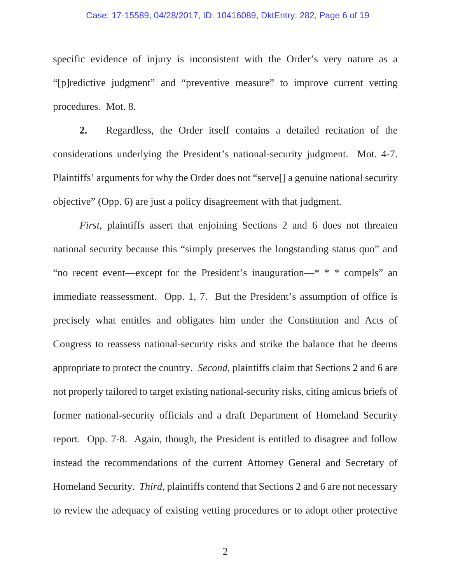#### Case: 17-15589, 04/28/2017, ID: 10416089, DktEntry: 282, Page 6 of 19

specific evidence of injury is inconsistent with the Order's very nature as a "[p]redictive judgment" and "preventive measure" to improve current vetting procedures. Mot. 8.

**2.** Regardless, the Order itself contains a detailed recitation of the considerations underlying the President's national-security judgment. Mot. 4-7. Plaintiffs' arguments for why the Order does not "serve[] a genuine national security objective" (Opp. 6) are just a policy disagreement with that judgment.

*First*, plaintiffs assert that enjoining Sections 2 and 6 does not threaten national security because this "simply preserves the longstanding status quo" and "no recent event—except for the President's inauguration—\* \* \* compels" an immediate reassessment. Opp. 1, 7. But the President's assumption of office is precisely what entitles and obligates him under the Constitution and Acts of Congress to reassess national-security risks and strike the balance that he deems appropriate to protect the country. *Second*, plaintiffs claim that Sections 2 and 6 are not properly tailored to target existing national-security risks, citing amicus briefs of former national-security officials and a draft Department of Homeland Security report. Opp. 7-8. Again, though, the President is entitled to disagree and follow instead the recommendations of the current Attorney General and Secretary of Homeland Security. *Third*, plaintiffs contend that Sections 2 and 6 are not necessary to review the adequacy of existing vetting procedures or to adopt other protective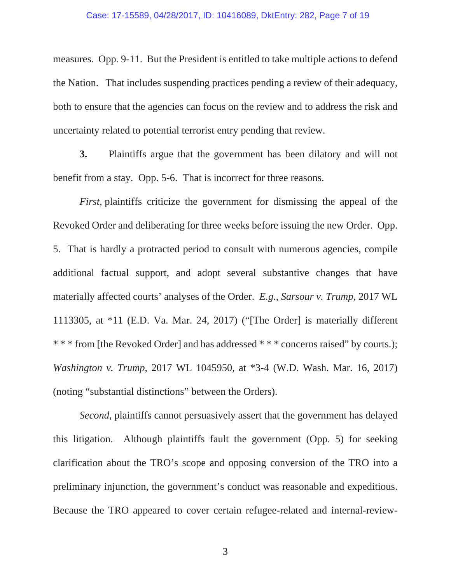measures. Opp. 9-11. But the President is entitled to take multiple actions to defend the Nation. That includes suspending practices pending a review of their adequacy, both to ensure that the agencies can focus on the review and to address the risk and uncertainty related to potential terrorist entry pending that review.

**3.** Plaintiffs argue that the government has been dilatory and will not benefit from a stay. Opp. 5-6. That is incorrect for three reasons.

*First*, plaintiffs criticize the government for dismissing the appeal of the Revoked Order and deliberating for three weeks before issuing the new Order. Opp. 5. That is hardly a protracted period to consult with numerous agencies, compile additional factual support, and adopt several substantive changes that have materially affected courts' analyses of the Order. *E.g.*, *Sarsour v. Trump*, 2017 WL 1113305, at \*11 (E.D. Va. Mar. 24, 2017) ("[The Order] is materially different \* \* \* from [the Revoked Order] and has addressed \* \* \* concerns raised" by courts.); *Washington v. Trump*, 2017 WL 1045950, at \*3-4 (W.D. Wash. Mar. 16, 2017) (noting "substantial distinctions" between the Orders).

*Second*, plaintiffs cannot persuasively assert that the government has delayed this litigation. Although plaintiffs fault the government (Opp. 5) for seeking clarification about the TRO's scope and opposing conversion of the TRO into a preliminary injunction, the government's conduct was reasonable and expeditious. Because the TRO appeared to cover certain refugee-related and internal-review-

3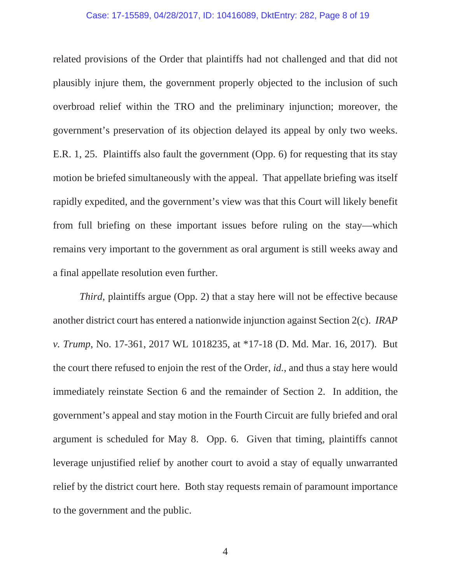related provisions of the Order that plaintiffs had not challenged and that did not plausibly injure them, the government properly objected to the inclusion of such overbroad relief within the TRO and the preliminary injunction; moreover, the government's preservation of its objection delayed its appeal by only two weeks. E.R. 1, 25. Plaintiffs also fault the government (Opp. 6) for requesting that its stay motion be briefed simultaneously with the appeal. That appellate briefing was itself rapidly expedited, and the government's view was that this Court will likely benefit from full briefing on these important issues before ruling on the stay—which remains very important to the government as oral argument is still weeks away and a final appellate resolution even further.

*Third*, plaintiffs argue (Opp. 2) that a stay here will not be effective because another district court has entered a nationwide injunction against Section 2(c). *IRAP v. Trump*, No. 17-361, 2017 WL 1018235, at \*17-18 (D. Md. Mar. 16, 2017). But the court there refused to enjoin the rest of the Order, *id.*, and thus a stay here would immediately reinstate Section 6 and the remainder of Section 2. In addition, the government's appeal and stay motion in the Fourth Circuit are fully briefed and oral argument is scheduled for May 8. Opp. 6. Given that timing, plaintiffs cannot leverage unjustified relief by another court to avoid a stay of equally unwarranted relief by the district court here. Both stay requests remain of paramount importance to the government and the public.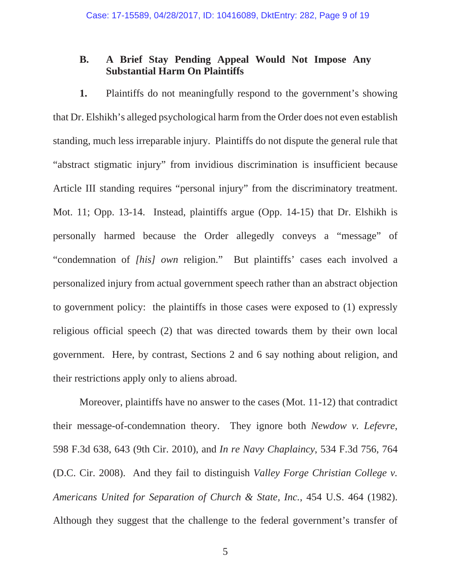## **B. A Brief Stay Pending Appeal Would Not Impose Any Substantial Harm On Plaintiffs**

**1.** Plaintiffs do not meaningfully respond to the government's showing that Dr. Elshikh's alleged psychological harm from the Order does not even establish standing, much less irreparable injury. Plaintiffs do not dispute the general rule that "abstract stigmatic injury" from invidious discrimination is insufficient because Article III standing requires "personal injury" from the discriminatory treatment. Mot. 11; Opp. 13-14. Instead, plaintiffs argue (Opp. 14-15) that Dr. Elshikh is personally harmed because the Order allegedly conveys a "message" of "condemnation of *[his] own* religion." But plaintiffs' cases each involved a personalized injury from actual government speech rather than an abstract objection to government policy: the plaintiffs in those cases were exposed to (1) expressly religious official speech (2) that was directed towards them by their own local government. Here, by contrast, Sections 2 and 6 say nothing about religion, and their restrictions apply only to aliens abroad.

Moreover, plaintiffs have no answer to the cases (Mot. 11-12) that contradict their message-of-condemnation theory. They ignore both *Newdow v. Lefevre*, 598 F.3d 638, 643 (9th Cir. 2010), and *In re Navy Chaplaincy*, 534 F.3d 756, 764 (D.C. Cir. 2008). And they fail to distinguish *Valley Forge Christian College v. Americans United for Separation of Church & State, Inc.*, 454 U.S. 464 (1982). Although they suggest that the challenge to the federal government's transfer of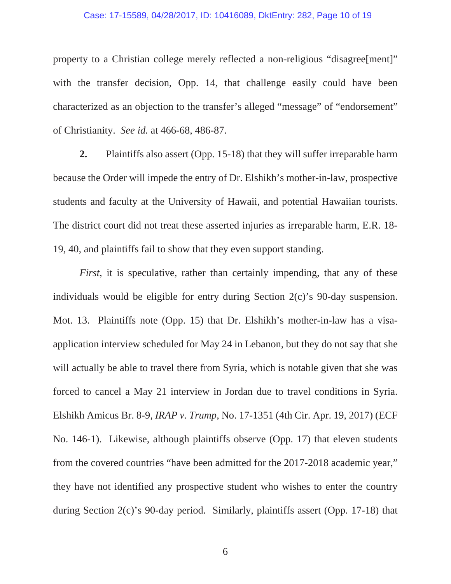#### Case: 17-15589, 04/28/2017, ID: 10416089, DktEntry: 282, Page 10 of 19

property to a Christian college merely reflected a non-religious "disagree[ment]" with the transfer decision, Opp. 14, that challenge easily could have been characterized as an objection to the transfer's alleged "message" of "endorsement" of Christianity. *See id.* at 466-68, 486-87.

**2.** Plaintiffs also assert (Opp. 15-18) that they will suffer irreparable harm because the Order will impede the entry of Dr. Elshikh's mother-in-law, prospective students and faculty at the University of Hawaii, and potential Hawaiian tourists. The district court did not treat these asserted injuries as irreparable harm, E.R. 18- 19, 40, and plaintiffs fail to show that they even support standing.

*First*, it is speculative, rather than certainly impending, that any of these individuals would be eligible for entry during Section 2(c)'s 90-day suspension. Mot. 13. Plaintiffs note (Opp. 15) that Dr. Elshikh's mother-in-law has a visaapplication interview scheduled for May 24 in Lebanon, but they do not say that she will actually be able to travel there from Syria, which is notable given that she was forced to cancel a May 21 interview in Jordan due to travel conditions in Syria. Elshikh Amicus Br. 8-9, *IRAP v. Trump*, No. 17-1351 (4th Cir. Apr. 19, 2017) (ECF No. 146-1). Likewise, although plaintiffs observe (Opp. 17) that eleven students from the covered countries "have been admitted for the 2017-2018 academic year," they have not identified any prospective student who wishes to enter the country during Section 2(c)'s 90-day period. Similarly, plaintiffs assert (Opp. 17-18) that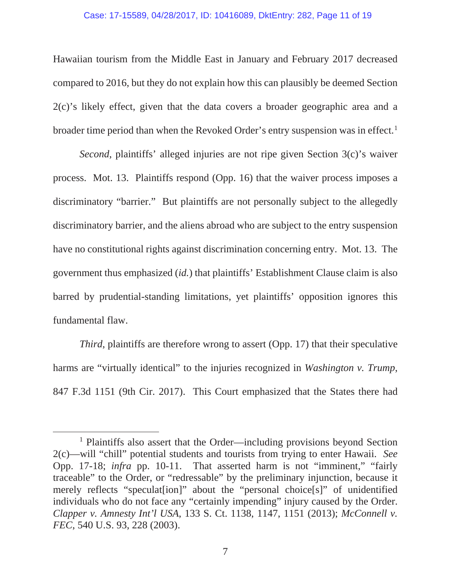#### Case: 17-15589, 04/28/2017, ID: 10416089, DktEntry: 282, Page 11 of 19

Hawaiian tourism from the Middle East in January and February 2017 decreased compared to 2016, but they do not explain how this can plausibly be deemed Section 2(c)'s likely effect, given that the data covers a broader geographic area and a broader time period than when the Revoked Order's entry suspension was in effect.<sup>1</sup>

*Second*, plaintiffs' alleged injuries are not ripe given Section 3(c)'s waiver process. Mot. 13. Plaintiffs respond (Opp. 16) that the waiver process imposes a discriminatory "barrier." But plaintiffs are not personally subject to the allegedly discriminatory barrier, and the aliens abroad who are subject to the entry suspension have no constitutional rights against discrimination concerning entry. Mot. 13. The government thus emphasized (*id.*) that plaintiffs' Establishment Clause claim is also barred by prudential-standing limitations, yet plaintiffs' opposition ignores this fundamental flaw.

*Third*, plaintiffs are therefore wrong to assert (Opp. 17) that their speculative harms are "virtually identical" to the injuries recognized in *Washington v. Trump*, 847 F.3d 1151 (9th Cir. 2017). This Court emphasized that the States there had

<sup>&</sup>lt;sup>1</sup> Plaintiffs also assert that the Order—including provisions beyond Section 2(c)—will "chill" potential students and tourists from trying to enter Hawaii. *See*  Opp. 17-18; *infra* pp. 10-11. That asserted harm is not "imminent," "fairly traceable" to the Order, or "redressable" by the preliminary injunction, because it merely reflects "speculat[ion]" about the "personal choice[s]" of unidentified individuals who do not face any "certainly impending" injury caused by the Order. *Clapper v. Amnesty Int'l USA*, 133 S. Ct. 1138, 1147, 1151 (2013); *McConnell v. FEC*, 540 U.S. 93, 228 (2003).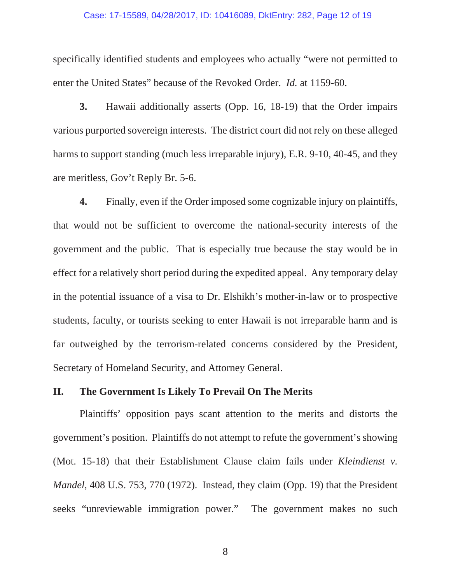#### Case: 17-15589, 04/28/2017, ID: 10416089, DktEntry: 282, Page 12 of 19

specifically identified students and employees who actually "were not permitted to enter the United States" because of the Revoked Order. *Id.* at 1159-60.

**3.** Hawaii additionally asserts (Opp. 16, 18-19) that the Order impairs various purported sovereign interests. The district court did not rely on these alleged harms to support standing (much less irreparable injury), E.R. 9-10, 40-45, and they are meritless, Gov't Reply Br. 5-6.

**4.** Finally, even if the Order imposed some cognizable injury on plaintiffs, that would not be sufficient to overcome the national-security interests of the government and the public. That is especially true because the stay would be in effect for a relatively short period during the expedited appeal. Any temporary delay in the potential issuance of a visa to Dr. Elshikh's mother-in-law or to prospective students, faculty, or tourists seeking to enter Hawaii is not irreparable harm and is far outweighed by the terrorism-related concerns considered by the President, Secretary of Homeland Security, and Attorney General.

#### **II. The Government Is Likely To Prevail On The Merits**

Plaintiffs' opposition pays scant attention to the merits and distorts the government's position. Plaintiffs do not attempt to refute the government's showing (Mot. 15-18) that their Establishment Clause claim fails under *Kleindienst v. Mandel*, 408 U.S. 753, 770 (1972). Instead, they claim (Opp. 19) that the President seeks "unreviewable immigration power." The government makes no such

8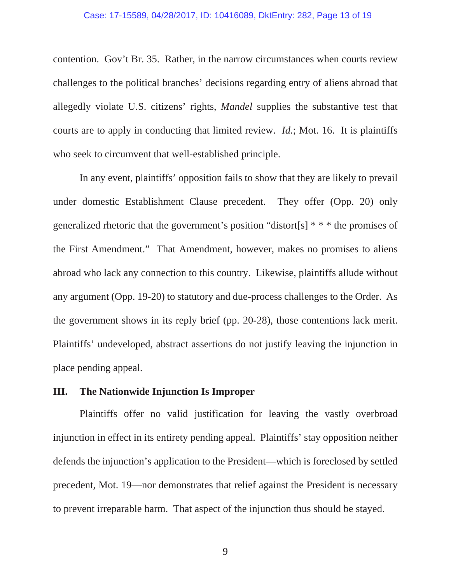contention. Gov't Br. 35. Rather, in the narrow circumstances when courts review challenges to the political branches' decisions regarding entry of aliens abroad that allegedly violate U.S. citizens' rights, *Mandel* supplies the substantive test that courts are to apply in conducting that limited review. *Id.*; Mot. 16. It is plaintiffs who seek to circumvent that well-established principle.

In any event, plaintiffs' opposition fails to show that they are likely to prevail under domestic Establishment Clause precedent. They offer (Opp. 20) only generalized rhetoric that the government's position "distort[s] \* \* \* the promises of the First Amendment." That Amendment, however, makes no promises to aliens abroad who lack any connection to this country. Likewise, plaintiffs allude without any argument (Opp. 19-20) to statutory and due-process challenges to the Order. As the government shows in its reply brief (pp. 20-28), those contentions lack merit. Plaintiffs' undeveloped, abstract assertions do not justify leaving the injunction in place pending appeal.

## **III. The Nationwide Injunction Is Improper**

Plaintiffs offer no valid justification for leaving the vastly overbroad injunction in effect in its entirety pending appeal. Plaintiffs' stay opposition neither defends the injunction's application to the President—which is foreclosed by settled precedent, Mot. 19—nor demonstrates that relief against the President is necessary to prevent irreparable harm. That aspect of the injunction thus should be stayed.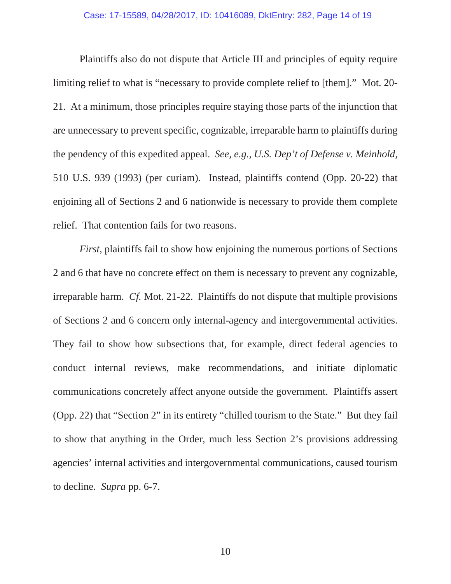Plaintiffs also do not dispute that Article III and principles of equity require limiting relief to what is "necessary to provide complete relief to [them]." Mot. 20- 21. At a minimum, those principles require staying those parts of the injunction that are unnecessary to prevent specific, cognizable, irreparable harm to plaintiffs during the pendency of this expedited appeal. *See, e.g.*, *U.S. Dep't of Defense v. Meinhold*, 510 U.S. 939 (1993) (per curiam). Instead, plaintiffs contend (Opp. 20-22) that enjoining all of Sections 2 and 6 nationwide is necessary to provide them complete relief. That contention fails for two reasons.

*First*, plaintiffs fail to show how enjoining the numerous portions of Sections 2 and 6 that have no concrete effect on them is necessary to prevent any cognizable, irreparable harm. *Cf.* Mot. 21-22. Plaintiffs do not dispute that multiple provisions of Sections 2 and 6 concern only internal-agency and intergovernmental activities. They fail to show how subsections that, for example, direct federal agencies to conduct internal reviews, make recommendations, and initiate diplomatic communications concretely affect anyone outside the government. Plaintiffs assert (Opp. 22) that "Section 2" in its entirety "chilled tourism to the State." But they fail to show that anything in the Order, much less Section 2's provisions addressing agencies' internal activities and intergovernmental communications, caused tourism to decline. *Supra* pp. 6-7.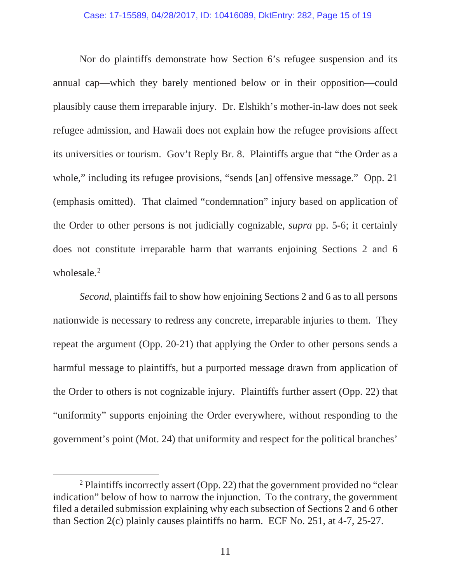Nor do plaintiffs demonstrate how Section 6's refugee suspension and its annual cap—which they barely mentioned below or in their opposition—could plausibly cause them irreparable injury. Dr. Elshikh's mother-in-law does not seek refugee admission, and Hawaii does not explain how the refugee provisions affect its universities or tourism. Gov't Reply Br. 8. Plaintiffs argue that "the Order as a whole," including its refugee provisions, "sends [an] offensive message." Opp. 21 (emphasis omitted). That claimed "condemnation" injury based on application of the Order to other persons is not judicially cognizable, *supra* pp. 5-6; it certainly does not constitute irreparable harm that warrants enjoining Sections 2 and 6 wholesale.<sup>2</sup>

*Second*, plaintiffs fail to show how enjoining Sections 2 and 6 as to all persons nationwide is necessary to redress any concrete, irreparable injuries to them. They repeat the argument (Opp. 20-21) that applying the Order to other persons sends a harmful message to plaintiffs, but a purported message drawn from application of the Order to others is not cognizable injury. Plaintiffs further assert (Opp. 22) that "uniformity" supports enjoining the Order everywhere, without responding to the government's point (Mot. 24) that uniformity and respect for the political branches'

<sup>&</sup>lt;sup>2</sup> Plaintiffs incorrectly assert (Opp. 22) that the government provided no "clear" indication" below of how to narrow the injunction. To the contrary, the government filed a detailed submission explaining why each subsection of Sections 2 and 6 other than Section 2(c) plainly causes plaintiffs no harm. ECF No. 251, at 4-7, 25-27.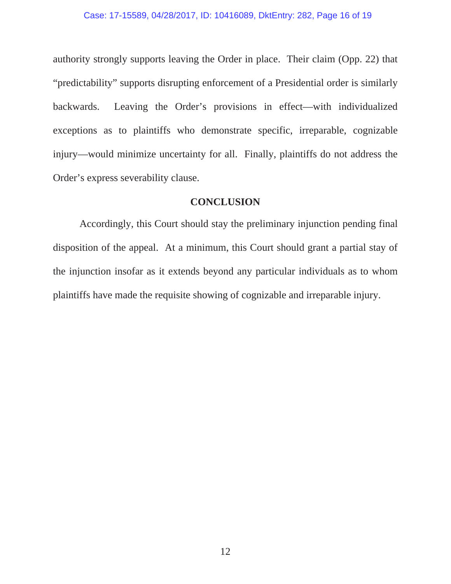authority strongly supports leaving the Order in place. Their claim (Opp. 22) that "predictability" supports disrupting enforcement of a Presidential order is similarly backwards. Leaving the Order's provisions in effect—with individualized exceptions as to plaintiffs who demonstrate specific, irreparable, cognizable injury—would minimize uncertainty for all. Finally, plaintiffs do not address the Order's express severability clause.

### **CONCLUSION**

Accordingly, this Court should stay the preliminary injunction pending final disposition of the appeal. At a minimum, this Court should grant a partial stay of the injunction insofar as it extends beyond any particular individuals as to whom plaintiffs have made the requisite showing of cognizable and irreparable injury.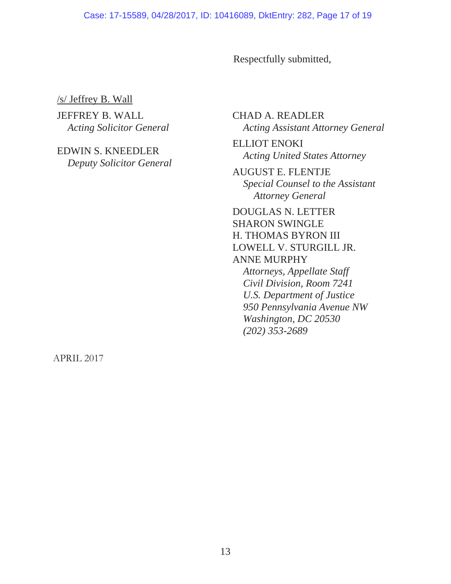Respectfully submitted,

/s/ Jeffrey B. Wall

JEFFREY B. WALL *Acting Solicitor General*

EDWIN S. KNEEDLER *Deputy Solicitor General* CHAD A. READLER *Acting Assistant Attorney General*

ELLIOT ENOKI *Acting United States Attorney*

AUGUST E. FLENTJE *Special Counsel to the Assistant Attorney General*

DOUGLAS N. LETTER SHARON SWINGLE H. THOMAS BYRON III LOWELL V. STURGILL JR. ANNE MURPHY *Attorneys, Appellate Staff*

*Civil Division, Room 7241 U.S. Department of Justice 950 Pennsylvania Avenue NW Washington, DC 20530 (202) 353-2689*

APRIL 2017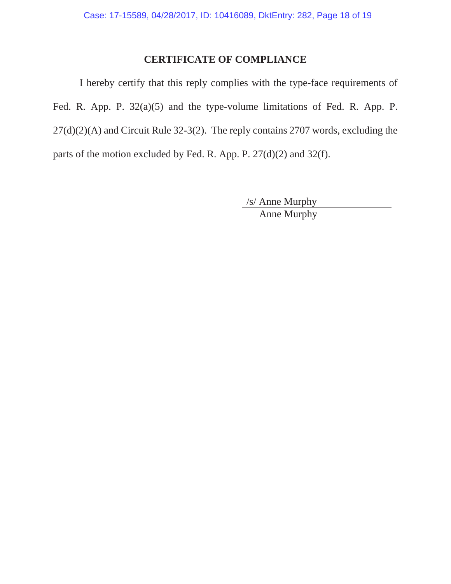# **CERTIFICATE OF COMPLIANCE**

I hereby certify that this reply complies with the type-face requirements of Fed. R. App. P. 32(a)(5) and the type-volume limitations of Fed. R. App. P.  $27(d)(2)(A)$  and Circuit Rule 32-3(2). The reply contains 2707 words, excluding the parts of the motion excluded by Fed. R. App. P. 27(d)(2) and 32(f).

> /s/ Anne Murphy Anne Murphy